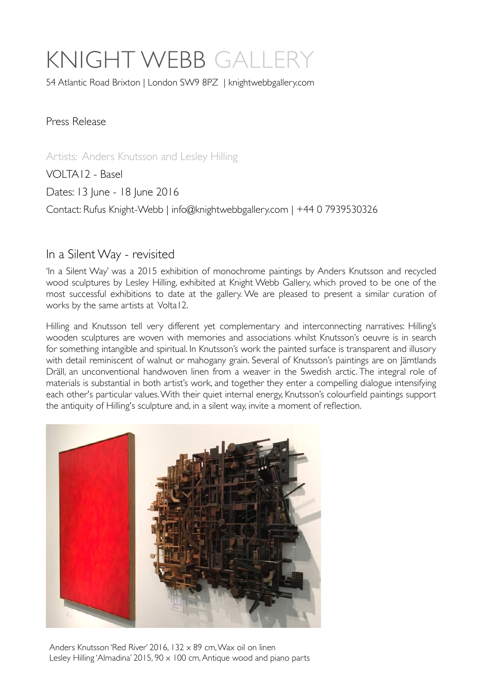# KNIGHT WEBB GALLE

54 Atlantic Road Brixton | London SW9 8PZ | [knightwebbgallery.com](http://knightwebbgallery.com)

Press Release

Artists: Anders Knutsson and Lesley Hilling

VOLTA12 - Basel

Dates: 13 June - 18 June 2016

Contact: Rufus Knight-Webb | [info@knightwebbgallery.com](mailto:info@knightwebbgallery.com) | +44 0 7939530326

#### In a Silent Way - revisited

'In a Silent Way' was a 2015 exhibition of monochrome paintings by Anders Knutsson and recycled wood sculptures by Lesley Hilling, exhibited at Knight Webb Gallery, which proved to be one of the most successful exhibitions to date at the gallery. We are pleased to present a similar curation of works by the same artists at Volta12.

Hilling and Knutsson tell very different yet complementary and interconnecting narratives: Hilling's wooden sculptures are woven with memories and associations whilst Knutsson's oeuvre is in search for something intangible and spiritual. In Knutsson's work the painted surface is transparent and illusory with detail reminiscent of walnut or mahogany grain. Several of Knutsson's paintings are on Jämtlands Dräll, an unconventional handwoven linen from a weaver in the Swedish arctic. The integral role of materials is substantial in both artist's work, and together they enter a compelling dialogue intensifying each other's particular values. With their quiet internal energy, Knutsson's colourfield paintings support the antiquity of Hilling's sculpture and, in a silent way, invite a moment of reflection.



Anders Knutsson 'Red River' 2016, 132 x 89 cm, Wax oil on linen Lesley Hilling 'Almadina' 2015, 90 x 100 cm, Antique wood and piano parts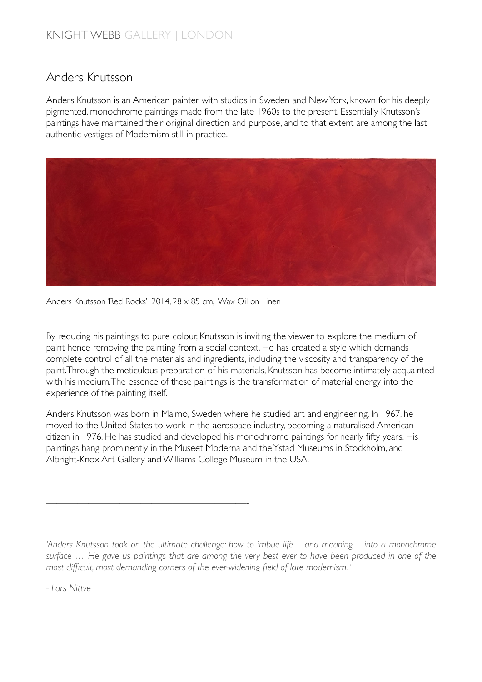### Anders Knutsson

Anders Knutsson is an American painter with studios in Sweden and New York, known for his deeply pigmented, monochrome paintings made from the late 1960s to the present. Essentially Knutsson's paintings have maintained their original direction and purpose, and to that extent are among the last authentic vestiges of Modernism still in practice.



Anders Knutsson 'Red Rocks' 2014, 28 x 85 cm, Wax Oil on Linen

———————————————————-

By reducing his paintings to pure colour, Knutsson is inviting the viewer to explore the medium of paint hence removing the painting from a social context. He has created a style which demands complete control of all the materials and ingredients, including the viscosity and transparency of the paint.Through the meticulous preparation of his materials, Knutsson has become intimately acquainted with his medium.The essence of these paintings is the transformation of material energy into the experience of the painting itself.

Anders Knutsson was born in Malmö, Sweden where he studied art and engineering. In 1967, he moved to the United States to work in the aerospace industry, becoming a naturalised American citizen in 1976. He has studied and developed his monochrome paintings for nearly fifty years. His paintings hang prominently in the Museet Moderna and the Ystad Museums in Stockholm, and Albright-Knox Art Gallery and Williams College Museum in the USA.

*'Anders Knutsson took on the ultimate challenge: how to imbue life – and meaning – into a monochrome surface … He gave us paintings that are among the very best ever to have been produced in one of the most difficult, most demanding corners of the ever-widening field of late modernism. '*

*- Lars Nittve*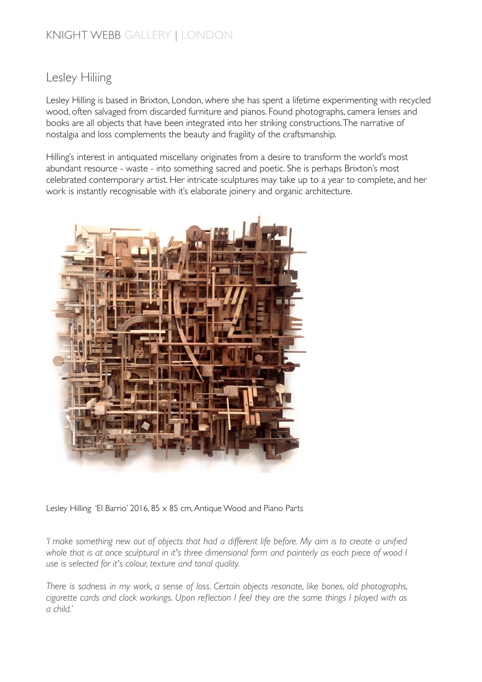#### Lesley Hiliing

Lesley Hilling is based in Brixton, London, where she has spent a lifetime experimenting with recycled wood, often salvaged from discarded furniture and pianos. Found photographs, camera lenses and books are all objects that have been integrated into her striking constructions. The narrative of nostalgia and loss complements the beauty and fragility of the craftsmanship.

Hilling's interest in antiquated miscellany originates from a desire to transform the world's most abundant resource - waste - into something sacred and poetic. She is perhaps Brixton's most celebrated contemporary artist. Her intricate sculptures may take up to a year to complete, and her work is instantly recognisable with it's elaborate joinery and organic architecture.



Lesley Hilling 'El Barrio' 2016, 85 x 85 cm, Antique Wood and Piano Parts

*'I make something new out of objects that had a different life before. My aim is to create a unified*  whole that is at once sculptural in it's three dimensional form and painterly as each piece of wood I *use is selected for it's colour, texture and tonal quality.* 

*There is sadness in my work, a sense of loss. Certain objects resonate, like bones, old photographs, cigarette cards and clock workings. Upon reflection I feel they are the same things I played with as a child.'*